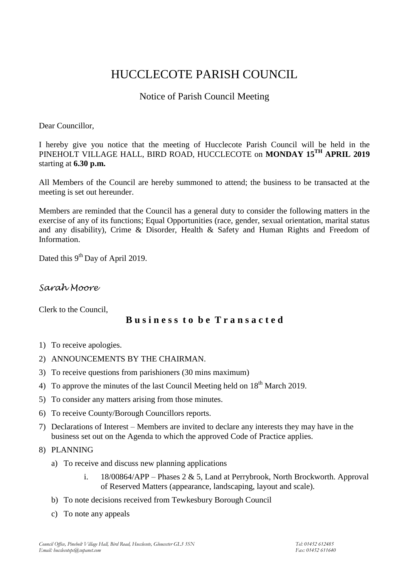# HUCCLECOTE PARISH COUNCIL

# Notice of Parish Council Meeting

Dear Councillor,

I hereby give you notice that the meeting of Hucclecote Parish Council will be held in the PINEHOLT VILLAGE HALL, BIRD ROAD, HUCCLECOTE on **MONDAY 15 TH APRIL 2019** starting at **6.30 p.m.**

All Members of the Council are hereby summoned to attend; the business to be transacted at the meeting is set out hereunder.

Members are reminded that the Council has a general duty to consider the following matters in the exercise of any of its functions; Equal Opportunities (race, gender, sexual orientation, marital status and any disability), Crime & Disorder, Health & Safety and Human Rights and Freedom of Information.

Dated this 9<sup>th</sup> Day of April 2019.

# *Sarah Moore*

Clerk to the Council,

# **B u s i n e s s t o b e T r a n s a c t e d**

- 1) To receive apologies.
- 2) ANNOUNCEMENTS BY THE CHAIRMAN.
- 3) To receive questions from parishioners (30 mins maximum)
- 4) To approve the minutes of the last Council Meeting held on  $18<sup>th</sup>$  March 2019.
- 5) To consider any matters arising from those minutes.
- 6) To receive County/Borough Councillors reports.
- 7) Declarations of Interest Members are invited to declare any interests they may have in the business set out on the Agenda to which the approved Code of Practice applies.
- 8) PLANNING
	- a) To receive and discuss new planning applications
		- i. 18/00864/APP Phases 2 & 5, Land at Perrybrook, North Brockworth. Approval of Reserved Matters (appearance, landscaping, layout and scale).
	- b) To note decisions received from Tewkesbury Borough Council
	- c) To note any appeals